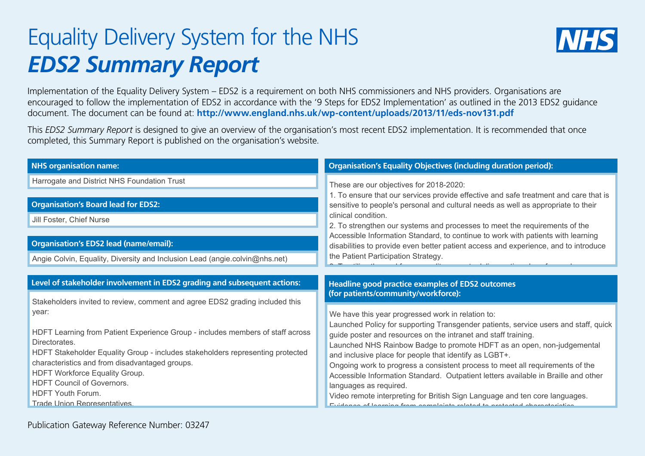## Equality Delivery System for the NHS *EDS2 Summary Report*



Implementation of the Equality Delivery System – EDS2 is a requirement on both NHS commissioners and NHS providers. Organisations are encouraged to follow the implementation of EDS2 in accordance with the '9 Steps for EDS2 Implementation' as outlined in the 2013 EDS2 guidance document. The document can be found at: **http://www.england.nhs.uk/wp-content/uploads/2013/11/eds-nov131.pdf**

This *EDS2 Summary Report* is designed to give an overview of the organisation's most recent EDS2 implementation. It is recommended that once completed, this Summary Report is published on the organisation's website.

| <b>NHS organisation name:</b>                                                                   | <b>Organisation's Equality Objectives (including duration period):</b>                                                                  |  |  |
|-------------------------------------------------------------------------------------------------|-----------------------------------------------------------------------------------------------------------------------------------------|--|--|
| Harrogate and District NHS Foundation Trust                                                     | These are our objectives for 2018-2020:                                                                                                 |  |  |
|                                                                                                 | 1. To ensure that our services provide effective and safe treatment and care that is                                                    |  |  |
| <b>Organisation's Board lead for EDS2:</b>                                                      | sensitive to people's personal and cultural needs as well as appropriate to their<br>clinical condition.                                |  |  |
| Jill Foster, Chief Nurse                                                                        | 2. To strengthen our systems and processes to meet the requirements of the                                                              |  |  |
|                                                                                                 | Accessible Information Standard, to continue to work with patients with learning                                                        |  |  |
| <b>Organisation's EDS2 lead (name/email):</b>                                                   | disabilities to provide even better patient access and experience, and to introduce                                                     |  |  |
| Angie Colvin, Equality, Diversity and Inclusion Lead (angie.colvin@nhs.net)                     | the Patient Participation Strategy.                                                                                                     |  |  |
|                                                                                                 |                                                                                                                                         |  |  |
| Level of stakeholder involvement in EDS2 grading and subsequent actions:                        | <b>Headline good practice examples of EDS2 outcomes</b>                                                                                 |  |  |
| Stakeholders invited to review, comment and agree EDS2 grading included this                    | (for patients/community/workforce):                                                                                                     |  |  |
| year:                                                                                           | We have this year progressed work in relation to:                                                                                       |  |  |
|                                                                                                 | Launched Policy for supporting Transgender patients, service users and staff, quick                                                     |  |  |
| HDFT Learning from Patient Experience Group - includes members of staff across                  | guide poster and resources on the intranet and staff training.                                                                          |  |  |
| Directorates.<br>HDFT Stakeholder Equality Group - includes stakeholders representing protected | Launched NHS Rainbow Badge to promote HDFT as an open, non-judgemental                                                                  |  |  |
| characteristics and from disadvantaged groups.                                                  | and inclusive place for people that identify as LGBT+.<br>Ongoing work to progress a consistent process to meet all requirements of the |  |  |
| HDFT Workforce Equality Group.                                                                  | Accessible Information Standard. Outpatient letters available in Braille and other                                                      |  |  |
| HDFT Council of Governors.                                                                      | languages as required.                                                                                                                  |  |  |
| HDFT Youth Forum.<br>Trade Union Representatives.                                               | Video remote interpreting for British Sign Language and ten core languages.                                                             |  |  |
|                                                                                                 |                                                                                                                                         |  |  |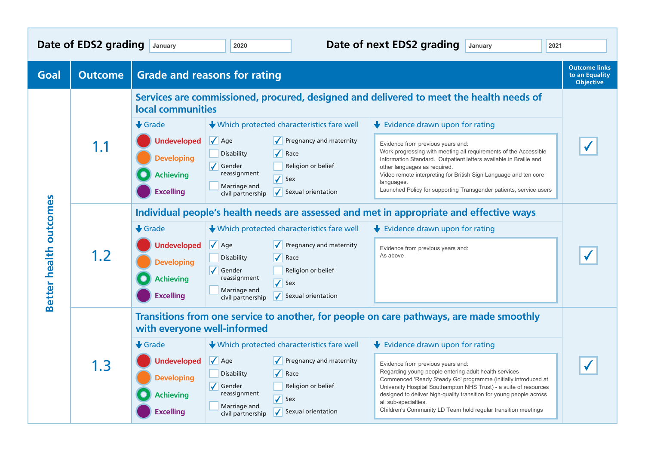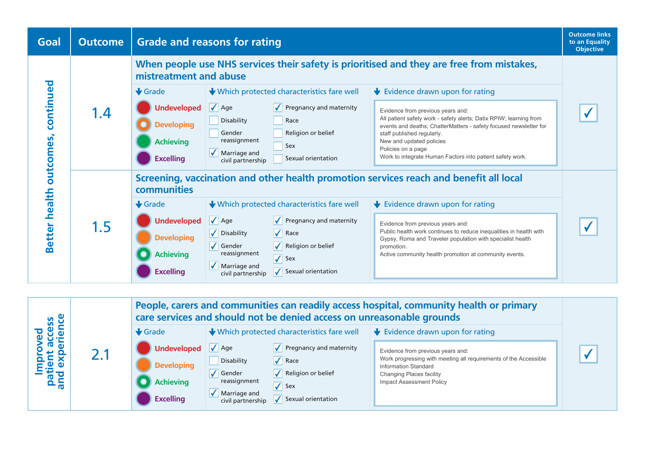

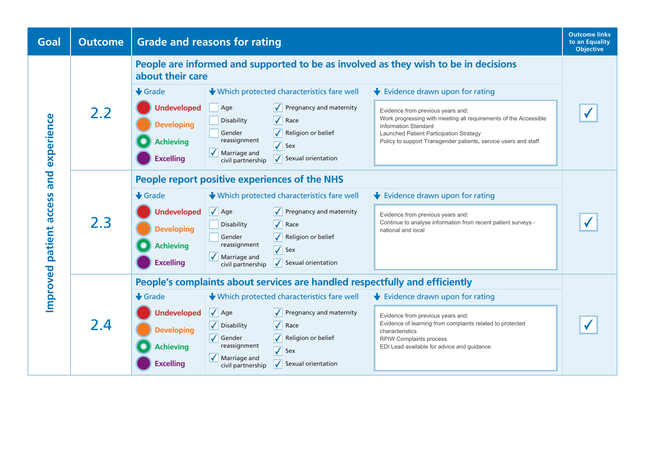| Goal                                         | <b>Outcome</b> | <b>Grade and reasons for rating</b>                                                                                                 |                                                                  | <b>Outcome links</b><br>to an Equality<br><b>Objective</b> |
|----------------------------------------------|----------------|-------------------------------------------------------------------------------------------------------------------------------------|------------------------------------------------------------------|------------------------------------------------------------|
| experience<br>and<br>Improved patient access |                | People are informed and supported to be as involved as they wish to be in decisions<br>about their care                             |                                                                  |                                                            |
|                                              | 2.2            | $\bigstar$ Grade<br>↓ Which protected characteristics fare well<br>$\bigstar$ Evidence drawn upon for rating                        |                                                                  |                                                            |
|                                              |                | <b>Undeveloped</b><br>$\sqrt{\phantom{a}}$ Pregnancy and maternity<br>Age<br>Evidence from previous years and:                      |                                                                  |                                                            |
|                                              |                | $\sqrt{\phantom{a}}$ Race<br>Disability<br><b>Developing</b><br><b>Information Standard</b>                                         | Work progressing with meeting all requirements of the Accessible |                                                            |
|                                              |                | Religion or belief<br>Gender<br>Launched Patient Participation Strategy<br>reassignment<br><b>Achieving</b>                         | Policy to support Transgender patients, service users and staff  |                                                            |
|                                              |                | $\overline{\checkmark}$<br>Sex<br>$\sqrt{\phantom{a}}$ Marriage and                                                                 |                                                                  |                                                            |
|                                              |                | <b>Excelling</b><br>Sexual orientation<br>civil partnership                                                                         |                                                                  |                                                            |
|                                              |                | People report positive experiences of the NHS                                                                                       |                                                                  |                                                            |
|                                              | 2.3            | $\bigstar$ Grade<br>↓ Which protected characteristics fare well<br>$\bigstar$ Evidence drawn upon for rating                        |                                                                  |                                                            |
|                                              |                | $\sqrt{\phantom{a}}$ Age<br><b>Undeveloped</b><br>Pregnancy and maternity<br>Evidence from previous years and:                      |                                                                  |                                                            |
|                                              |                | $\sqrt{}$<br>Disability<br>Race<br><b>Developing</b><br>national and local                                                          | Continue to analyse information from recent patient surveys -    |                                                            |
|                                              |                | Religion or belief<br>Gender<br>reassignment<br><b>Achieving</b>                                                                    |                                                                  |                                                            |
|                                              |                | $\sqrt{\ }$ Sex<br>$\sqrt{\phantom{a}}$ Marriage and                                                                                |                                                                  |                                                            |
|                                              |                | <b>Excelling</b><br>$\sqrt{\phantom{a}}$ Sexual orientation<br>civil partnership                                                    |                                                                  |                                                            |
|                                              |                | People's complaints about services are handled respectfully and efficiently                                                         |                                                                  |                                                            |
|                                              | 2.4            | $\bigstar$ Grade<br>↓ Which protected characteristics fare well<br>$\blacktriangleright$ Evidence drawn upon for rating             |                                                                  |                                                            |
|                                              |                | $\sqrt{\phantom{a}}$ Age<br><b>Undeveloped</b><br>$\sqrt{\phantom{a}}$ Pregnancy and maternity<br>Evidence from previous years and: |                                                                  |                                                            |
|                                              |                | V Disability<br>$\sqrt{\phantom{a}}$ Race<br><b>Developing</b><br>characteristics                                                   | Evidence of learning from complaints related to protected        |                                                            |
|                                              |                | $\sqrt{\,}$ Gender<br>Religion or belief<br>RPIW Complaints process.<br>reassignment<br>EDI Lead available for advice and guidance. |                                                                  |                                                            |
|                                              |                | <b>Achieving</b><br>$\sqrt{\ }$ Sex<br>$\sqrt{\phantom{a}}$ Marriage and                                                            |                                                                  |                                                            |
|                                              |                | <b>Excelling</b><br>Sexual orientation<br>civil partnership                                                                         |                                                                  |                                                            |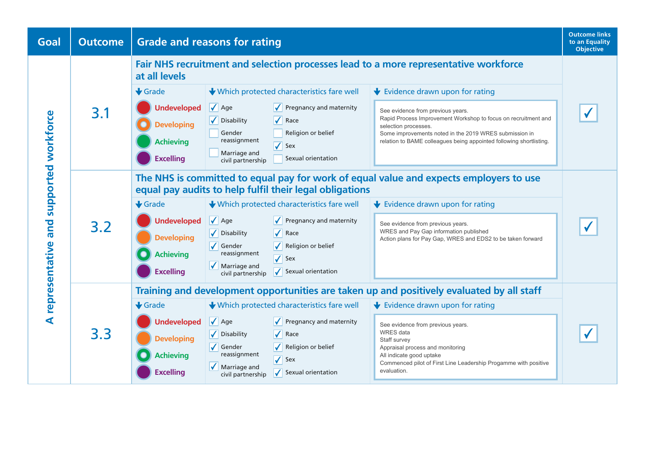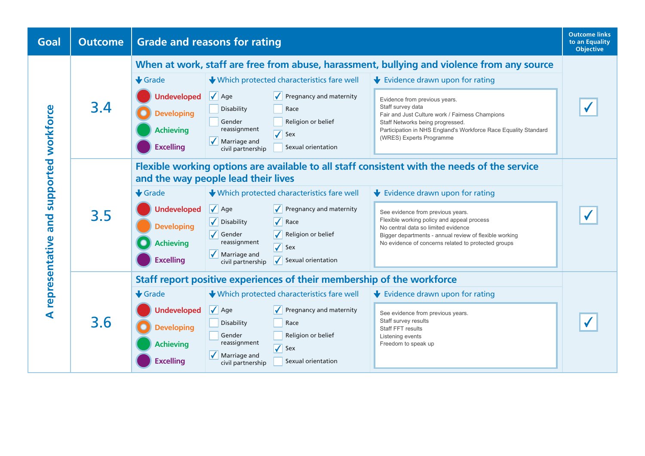